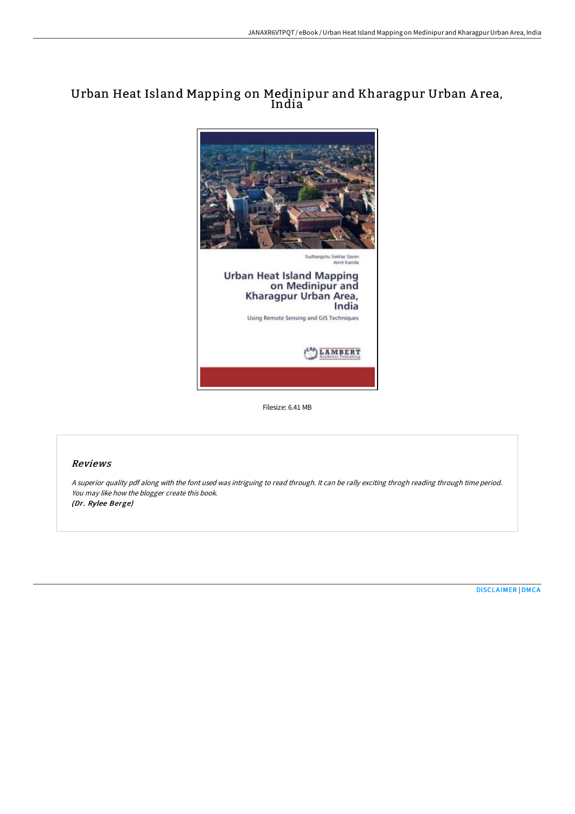# Urban Heat Island Mapping on Medinipur and Kharagpur Urban A rea, India



Filesize: 6.41 MB

## Reviews

<sup>A</sup> superior quality pdf along with the font used was intriguing to read through. It can be rally exciting throgh reading through time period. You may like how the blogger create this book. (Dr. Rylee Berge)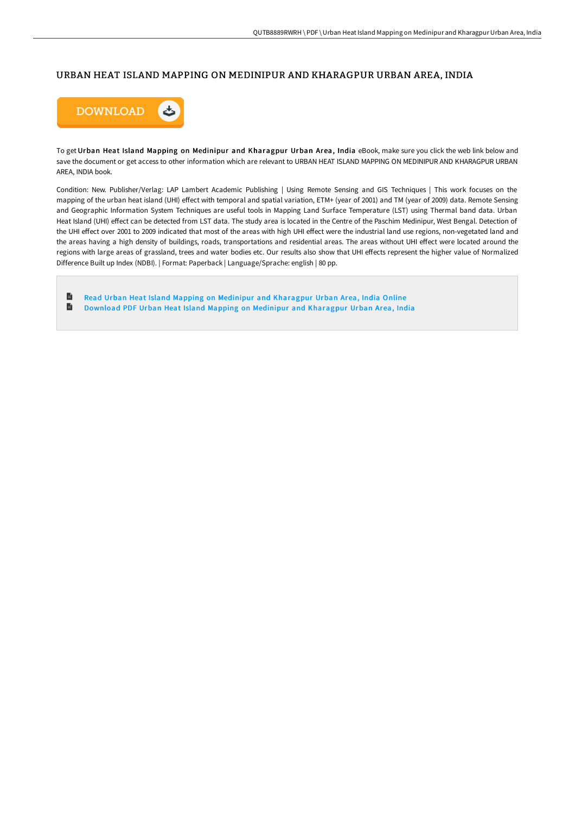### URBAN HEAT ISLAND MAPPING ON MEDINIPUR AND KHARAGPUR URBAN AREA, INDIA



To get Urban Heat Island Mapping on Medinipur and Kharagpur Urban Area, India eBook, make sure you click the web link below and save the document or get access to other information which are relevant to URBAN HEAT ISLAND MAPPING ON MEDINIPUR AND KHARAGPUR URBAN AREA, INDIA book.

Condition: New. Publisher/Verlag: LAP Lambert Academic Publishing | Using Remote Sensing and GIS Techniques | This work focuses on the mapping of the urban heat island (UHI) effect with temporal and spatial variation, ETM+ (year of 2001) and TM (year of 2009) data. Remote Sensing and Geographic Information System Techniques are useful tools in Mapping Land Surface Temperature (LST) using Thermal band data. Urban Heat Island (UHI) effect can be detected from LST data. The study area is located in the Centre of the Paschim Medinipur, West Bengal. Detection of the UHI effect over 2001 to 2009 indicated that most of the areas with high UHI effect were the industrial land use regions, non-vegetated land and the areas having a high density of buildings, roads, transportations and residential areas. The areas without UHI effect were located around the regions with large areas of grassland, trees and water bodies etc. Our results also show that UHI effects represent the higher value of Normalized Difference Built up Index (NDBI). | Format: Paperback | Language/Sprache: english | 80 pp.

 $\blacksquare$ Read Urban Heat Island Mapping on Medinipur and [Kharagpur](http://techno-pub.tech/urban-heat-island-mapping-on-medinipur-and-khara.html) Urban Area, India Online B Download PDF Urban Heat Island Mapping on Medinipur and [Kharagpur](http://techno-pub.tech/urban-heat-island-mapping-on-medinipur-and-khara.html) Urban Area, India